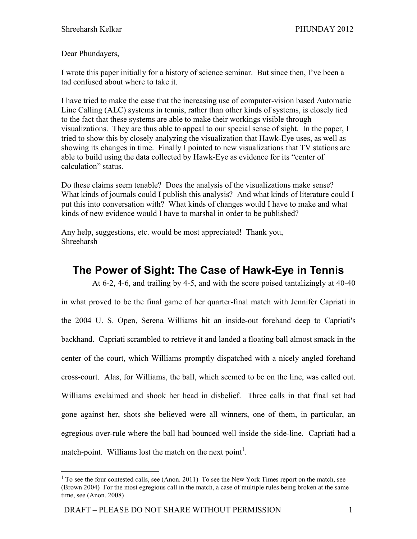Dear Phundayers,

I wrote this paper initially for a history of science seminar. But since then, I've been a tad confused about where to take it.

I have tried to make the case that the increasing use of computer-vision based Automatic Line Calling (ALC) systems in tennis, rather than other kinds of systems, is closely tied to the fact that these systems are able to make their workings visible through visualizations. They are thus able to appeal to our special sense of sight. In the paper, I tried to show this by closely analyzing the visualization that Hawk-Eye uses, as well as showing its changes in time. Finally I pointed to new visualizations that TV stations are able to build using the data collected by Hawk-Eye as evidence for its "center of calculation" status.

Do these claims seem tenable? Does the analysis of the visualizations make sense? What kinds of journals could I publish this analysis? And what kinds of literature could I put this into conversation with? What kinds of changes would I have to make and what kinds of new evidence would I have to marshal in order to be published?

Any help, suggestions, etc. would be most appreciated! Thank you, Shreeharsh

# **The Power of Sight: The Case of Hawk-Eye in Tennis**

At 6-2, 4-6, and trailing by 4-5, and with the score poised tantalizingly at 40-40 in what proved to be the final game of her quarter-final match with Jennifer Capriati in the 2004 U. S. Open, Serena Williams hit an inside-out forehand deep to Capriati's backhand. Capriati scrambled to retrieve it and landed a floating ball almost smack in the center of the court, which Williams promptly dispatched with a nicely angled forehand cross-court. Alas, for Williams, the ball, which seemed to be on the line, was called out. Williams exclaimed and shook her head in disbelief. Three calls in that final set had gone against her, shots she believed were all winners, one of them, in particular, an egregious over-rule where the ball had bounced well inside the side-line. Capriati had a match-point. Williams lost the match on the next point<sup>1</sup>.

<sup>&</sup>lt;sup>1</sup> To see the four contested calls, see (Anon. 2011) To see the New York Times report on the match, see (Brown 2004) For the most egregious call in the match, a case of multiple rules being broken at the same time, see (Anon. 2008)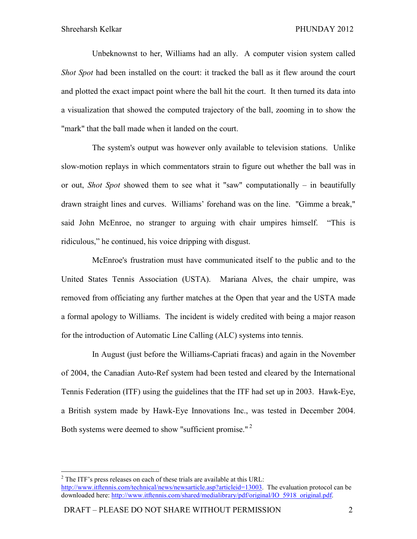Unbeknownst to her, Williams had an ally. A computer vision system called *Shot Spot* had been installed on the court: it tracked the ball as it flew around the court and plotted the exact impact point where the ball hit the court. It then turned its data into a visualization that showed the computed trajectory of the ball, zooming in to show the "mark" that the ball made when it landed on the court.

The system's output was however only available to television stations. Unlike slow-motion replays in which commentators strain to figure out whether the ball was in or out, *Shot Spot* showed them to see what it "saw" computationally – in beautifully drawn straight lines and curves. Williams' forehand was on the line. "Gimme a break," said John McEnroe, no stranger to arguing with chair umpires himself. "This is ridiculous," he continued, his voice dripping with disgust.

McEnroe's frustration must have communicated itself to the public and to the United States Tennis Association (USTA). Mariana Alves, the chair umpire, was removed from officiating any further matches at the Open that year and the USTA made a formal apology to Williams. The incident is widely credited with being a major reason for the introduction of Automatic Line Calling (ALC) systems into tennis.

In August (just before the Williams-Capriati fracas) and again in the November of 2004, the Canadian Auto-Ref system had been tested and cleared by the International Tennis Federation (ITF) using the guidelines that the ITF had set up in 2003. Hawk-Eye, a British system made by Hawk-Eye Innovations Inc., was tested in December 2004. Both systems were deemed to show "sufficient promise."<sup>2</sup>

<sup>&</sup>lt;sup>2</sup> The ITF's press releases on each of these trials are available at this URL: http://www.itftennis.com/technical/news/newsarticle.asp?articleid=13003. The evaluation protocol can be downloaded here: http://www.itftennis.com/shared/medialibrary/pdf/original/IO\_5918\_original.pdf.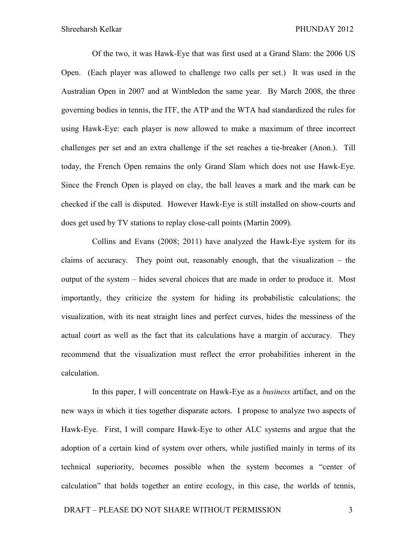Of the two, it was Hawk-Eye that was first used at a Grand Slam: the 2006 US Open. (Each player was allowed to challenge two calls per set.) It was used in the Australian Open in 2007 and at Wimbledon the same year. By March 2008, the three governing bodies in tennis, the ITF, the ATP and the WTA had standardized the rules for using Hawk-Eye: each player is now allowed to make a maximum of three incorrect challenges per set and an extra challenge if the set reaches a tie-breaker (Anon.). Till today, the French Open remains the only Grand Slam which does not use Hawk-Eye. Since the French Open is played on clay, the ball leaves a mark and the mark can be checked if the call is disputed. However Hawk-Eye is still installed on show-courts and does get used by TV stations to replay close-call points (Martin 2009).

Collins and Evans (2008; 2011) have analyzed the Hawk-Eye system for its claims of accuracy. They point out, reasonably enough, that the visualization – the output of the system – hides several choices that are made in order to produce it. Most importantly, they criticize the system for hiding its probabilistic calculations; the visualization, with its neat straight lines and perfect curves, hides the messiness of the actual court as well as the fact that its calculations have a margin of accuracy. They recommend that the visualization must reflect the error probabilities inherent in the calculation.

In this paper, I will concentrate on Hawk-Eye as a *business* artifact, and on the new ways in which it ties together disparate actors. I propose to analyze two aspects of Hawk-Eye. First, I will compare Hawk-Eye to other ALC systems and argue that the adoption of a certain kind of system over others, while justified mainly in terms of its technical superiority, becomes possible when the system becomes a "center of calculation" that holds together an entire ecology, in this case, the worlds of tennis,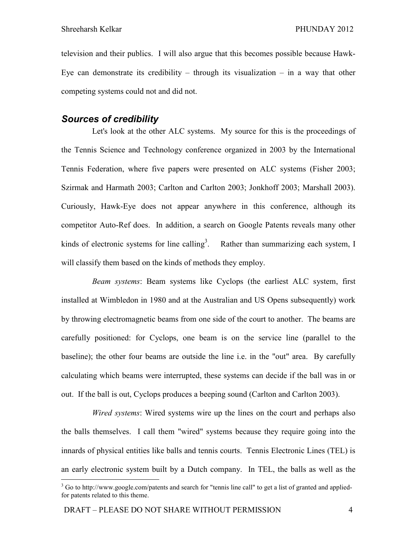television and their publics. I will also argue that this becomes possible because Hawk-Eye can demonstrate its credibility – through its visualization – in a way that other competing systems could not and did not.

#### *Sources of credibility*

Let's look at the other ALC systems. My source for this is the proceedings of the Tennis Science and Technology conference organized in 2003 by the International Tennis Federation, where five papers were presented on ALC systems (Fisher 2003; Szirmak and Harmath 2003; Carlton and Carlton 2003; Jonkhoff 2003; Marshall 2003). Curiously, Hawk-Eye does not appear anywhere in this conference, although its competitor Auto-Ref does. In addition, a search on Google Patents reveals many other kinds of electronic systems for line calling<sup>3</sup>. Rather than summarizing each system, I will classify them based on the kinds of methods they employ.

*Beam systems*: Beam systems like Cyclops (the earliest ALC system, first installed at Wimbledon in 1980 and at the Australian and US Opens subsequently) work by throwing electromagnetic beams from one side of the court to another. The beams are carefully positioned: for Cyclops, one beam is on the service line (parallel to the baseline); the other four beams are outside the line i.e. in the "out" area. By carefully calculating which beams were interrupted, these systems can decide if the ball was in or out. If the ball is out, Cyclops produces a beeping sound (Carlton and Carlton 2003).

*Wired systems*: Wired systems wire up the lines on the court and perhaps also the balls themselves. I call them "wired" systems because they require going into the innards of physical entities like balls and tennis courts. Tennis Electronic Lines (TEL) is an early electronic system built by a Dutch company. In TEL, the balls as well as the

-

 $3$  Go to http://www.google.com/patents and search for "tennis line call" to get a list of granted and appliedfor patents related to this theme.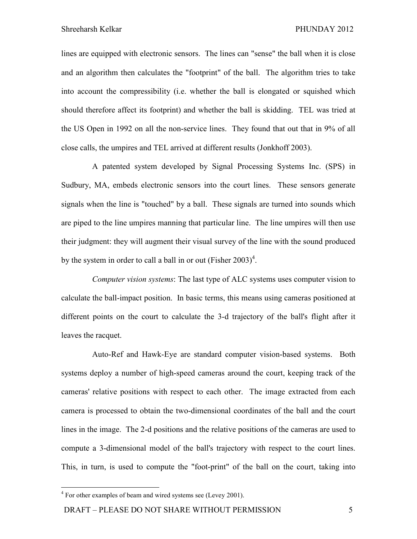lines are equipped with electronic sensors. The lines can "sense" the ball when it is close and an algorithm then calculates the "footprint" of the ball. The algorithm tries to take into account the compressibility (i.e. whether the ball is elongated or squished which should therefore affect its footprint) and whether the ball is skidding. TEL was tried at the US Open in 1992 on all the non-service lines. They found that out that in 9% of all close calls, the umpires and TEL arrived at different results (Jonkhoff 2003).

A patented system developed by Signal Processing Systems Inc. (SPS) in Sudbury, MA, embeds electronic sensors into the court lines. These sensors generate signals when the line is "touched" by a ball. These signals are turned into sounds which are piped to the line umpires manning that particular line. The line umpires will then use their judgment: they will augment their visual survey of the line with the sound produced by the system in order to call a ball in or out (Fisher  $2003)^4$ .

*Computer vision systems*: The last type of ALC systems uses computer vision to calculate the ball-impact position. In basic terms, this means using cameras positioned at different points on the court to calculate the 3-d trajectory of the ball's flight after it leaves the racquet.

Auto-Ref and Hawk-Eye are standard computer vision-based systems. Both systems deploy a number of high-speed cameras around the court, keeping track of the cameras' relative positions with respect to each other. The image extracted from each camera is processed to obtain the two-dimensional coordinates of the ball and the court lines in the image. The 2-d positions and the relative positions of the cameras are used to compute a 3-dimensional model of the ball's trajectory with respect to the court lines. This, in turn, is used to compute the "foot-print" of the ball on the court, taking into

 $\overline{a}$ 

<sup>&</sup>lt;sup>4</sup> For other examples of beam and wired systems see (Levey 2001).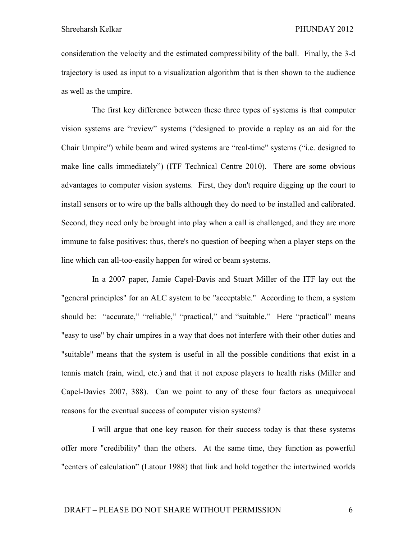consideration the velocity and the estimated compressibility of the ball. Finally, the 3-d trajectory is used as input to a visualization algorithm that is then shown to the audience as well as the umpire.

The first key difference between these three types of systems is that computer vision systems are "review" systems ("designed to provide a replay as an aid for the Chair Umpire") while beam and wired systems are "real-time" systems ("i.e. designed to make line calls immediately") (ITF Technical Centre 2010). There are some obvious advantages to computer vision systems. First, they don't require digging up the court to install sensors or to wire up the balls although they do need to be installed and calibrated. Second, they need only be brought into play when a call is challenged, and they are more immune to false positives: thus, there's no question of beeping when a player steps on the line which can all-too-easily happen for wired or beam systems.

In a 2007 paper, Jamie Capel-Davis and Stuart Miller of the ITF lay out the "general principles" for an ALC system to be "acceptable." According to them, a system should be: "accurate," "reliable," "practical," and "suitable." Here "practical" means "easy to use" by chair umpires in a way that does not interfere with their other duties and "suitable" means that the system is useful in all the possible conditions that exist in a tennis match (rain, wind, etc.) and that it not expose players to health risks (Miller and Capel-Davies 2007, 388). Can we point to any of these four factors as unequivocal reasons for the eventual success of computer vision systems?

I will argue that one key reason for their success today is that these systems offer more "credibility" than the others. At the same time, they function as powerful "centers of calculation" (Latour 1988) that link and hold together the intertwined worlds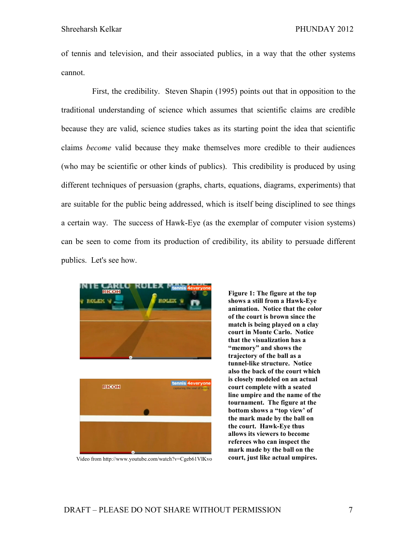of tennis and television, and their associated publics, in a way that the other systems cannot.

First, the credibility. Steven Shapin (1995) points out that in opposition to the traditional understanding of science which assumes that scientific claims are credible because they are valid, science studies takes as its starting point the idea that scientific claims *become* valid because they make themselves more credible to their audiences (who may be scientific or other kinds of publics). This credibility is produced by using different techniques of persuasion (graphs, charts, equations, diagrams, experiments) that are suitable for the public being addressed, which is itself being disciplined to see things a certain way. The success of Hawk-Eye (as the exemplar of computer vision systems) can be seen to come from its production of credibility, its ability to persuade different publics. Let's see how.





**Figure 1: The figure at the top shows a still from a Hawk-Eye animation. Notice that the color of the court is brown since the match is being played on a clay court in Monte Carlo. Notice that the visualization has a "memory" and shows the trajectory of the ball as a tunnel-like structure. Notice also the back of the court which is closely modeled on an actual court complete with a seated line umpire and the name of the tournament. The figure at the bottom shows a "top view' of the mark made by the ball on the court. Hawk-Eye thus allows its viewers to become referees who can inspect the mark made by the ball on the**  Video from http://www.youtube.com/watch?v=Cgeb61VIKvo **court, just like actual umpires.**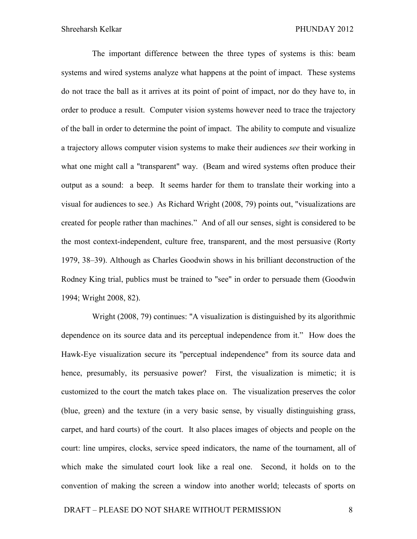The important difference between the three types of systems is this: beam systems and wired systems analyze what happens at the point of impact. These systems do not trace the ball as it arrives at its point of point of impact, nor do they have to, in order to produce a result. Computer vision systems however need to trace the trajectory of the ball in order to determine the point of impact. The ability to compute and visualize a trajectory allows computer vision systems to make their audiences *see* their working in what one might call a "transparent" way. (Beam and wired systems often produce their output as a sound: a beep. It seems harder for them to translate their working into a visual for audiences to see.) As Richard Wright (2008, 79) points out, "visualizations are created for people rather than machines." And of all our senses, sight is considered to be the most context-independent, culture free, transparent, and the most persuasive (Rorty 1979, 38–39). Although as Charles Goodwin shows in his brilliant deconstruction of the Rodney King trial, publics must be trained to "see" in order to persuade them (Goodwin 1994; Wright 2008, 82).

Wright (2008, 79) continues: "A visualization is distinguished by its algorithmic dependence on its source data and its perceptual independence from it." How does the Hawk-Eye visualization secure its "perceptual independence" from its source data and hence, presumably, its persuasive power? First, the visualization is mimetic; it is customized to the court the match takes place on. The visualization preserves the color (blue, green) and the texture (in a very basic sense, by visually distinguishing grass, carpet, and hard courts) of the court. It also places images of objects and people on the court: line umpires, clocks, service speed indicators, the name of the tournament, all of which make the simulated court look like a real one. Second, it holds on to the convention of making the screen a window into another world; telecasts of sports on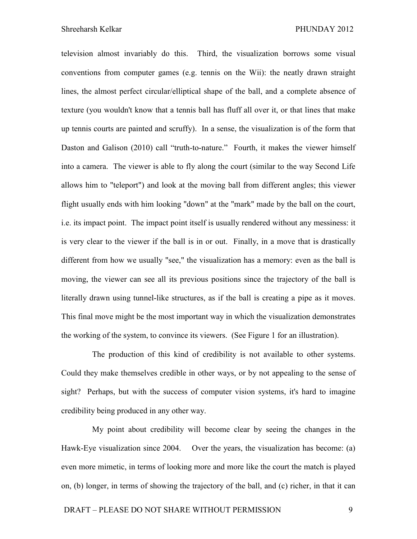television almost invariably do this. Third, the visualization borrows some visual conventions from computer games (e.g. tennis on the Wii): the neatly drawn straight lines, the almost perfect circular/elliptical shape of the ball, and a complete absence of texture (you wouldn't know that a tennis ball has fluff all over it, or that lines that make up tennis courts are painted and scruffy). In a sense, the visualization is of the form that Daston and Galison (2010) call "truth-to-nature." Fourth, it makes the viewer himself into a camera. The viewer is able to fly along the court (similar to the way Second Life allows him to "teleport") and look at the moving ball from different angles; this viewer flight usually ends with him looking "down" at the "mark" made by the ball on the court, i.e. its impact point. The impact point itself is usually rendered without any messiness: it is very clear to the viewer if the ball is in or out. Finally, in a move that is drastically different from how we usually "see," the visualization has a memory: even as the ball is moving, the viewer can see all its previous positions since the trajectory of the ball is literally drawn using tunnel-like structures, as if the ball is creating a pipe as it moves. This final move might be the most important way in which the visualization demonstrates the working of the system, to convince its viewers. (See Figure 1 for an illustration).

The production of this kind of credibility is not available to other systems. Could they make themselves credible in other ways, or by not appealing to the sense of sight? Perhaps, but with the success of computer vision systems, it's hard to imagine credibility being produced in any other way.

My point about credibility will become clear by seeing the changes in the Hawk-Eye visualization since 2004. Over the years, the visualization has become: (a) even more mimetic, in terms of looking more and more like the court the match is played on, (b) longer, in terms of showing the trajectory of the ball, and (c) richer, in that it can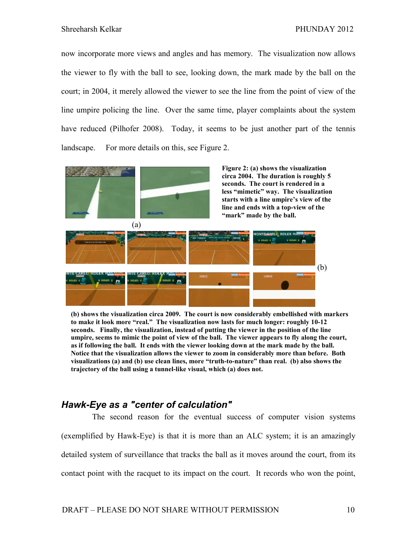now incorporate more views and angles and has memory. The visualization now allows the viewer to fly with the ball to see, looking down, the mark made by the ball on the court; in 2004, it merely allowed the viewer to see the line from the point of view of the line umpire policing the line. Over the same time, player complaints about the system have reduced (Pilhofer 2008). Today, it seems to be just another part of the tennis landscape. For more details on this, see Figure 2.



**(b) shows the visualization circa 2009. The court is now considerably embellished with markers to make it look more "real." The visualization now lasts for much longer: roughly 10-12 seconds. Finally, the visualization, instead of putting the viewer in the position of the line umpire, seems to mimic the point of view of the ball. The viewer appears to fly along the court, as if following the ball. It ends with the viewer looking down at the mark made by the ball. Notice that the visualization allows the viewer to zoom in considerably more than before. Both visualizations (a) and (b) use clean lines, more "truth-to-nature" than real. (b) also shows the trajectory of the ball using a tunnel-like visual, which (a) does not.** 

#### *Hawk-Eye as a "center of calculation"*

The second reason for the eventual success of computer vision systems (exemplified by Hawk-Eye) is that it is more than an ALC system; it is an amazingly detailed system of surveillance that tracks the ball as it moves around the court, from its contact point with the racquet to its impact on the court. It records who won the point,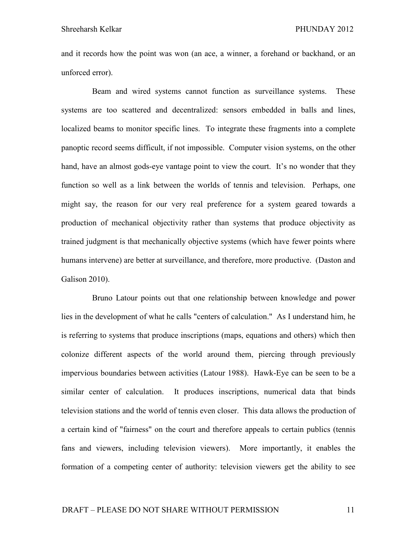and it records how the point was won (an ace, a winner, a forehand or backhand, or an unforced error).

Beam and wired systems cannot function as surveillance systems. These systems are too scattered and decentralized: sensors embedded in balls and lines, localized beams to monitor specific lines. To integrate these fragments into a complete panoptic record seems difficult, if not impossible. Computer vision systems, on the other hand, have an almost gods-eye vantage point to view the court. It's no wonder that they function so well as a link between the worlds of tennis and television. Perhaps, one might say, the reason for our very real preference for a system geared towards a production of mechanical objectivity rather than systems that produce objectivity as trained judgment is that mechanically objective systems (which have fewer points where humans intervene) are better at surveillance, and therefore, more productive. (Daston and Galison 2010).

Bruno Latour points out that one relationship between knowledge and power lies in the development of what he calls "centers of calculation." As I understand him, he is referring to systems that produce inscriptions (maps, equations and others) which then colonize different aspects of the world around them, piercing through previously impervious boundaries between activities (Latour 1988). Hawk-Eye can be seen to be a similar center of calculation. It produces inscriptions, numerical data that binds television stations and the world of tennis even closer. This data allows the production of a certain kind of "fairness" on the court and therefore appeals to certain publics (tennis fans and viewers, including television viewers). More importantly, it enables the formation of a competing center of authority: television viewers get the ability to see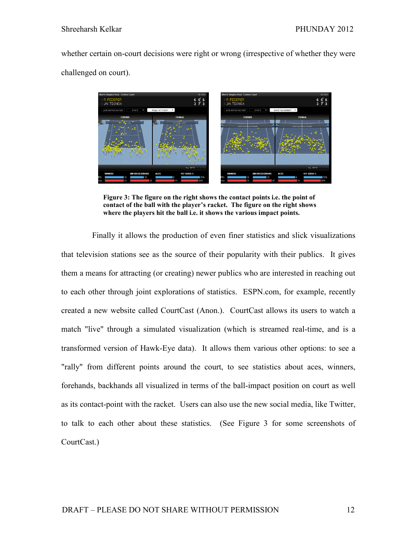whether certain on-court decisions were right or wrong (irrespective of whether they were challenged on court).



**Figure 3: The figure on the right shows the contact points i.e. the point of contact of the ball with the player's racket. The figure on the right shows where the players hit the ball i.e. it shows the various impact points.** 

Finally it allows the production of even finer statistics and slick visualizations that television stations see as the source of their popularity with their publics. It gives them a means for attracting (or creating) newer publics who are interested in reaching out to each other through joint explorations of statistics. ESPN.com, for example, recently created a new website called CourtCast (Anon.). CourtCast allows its users to watch a match "live" through a simulated visualization (which is streamed real-time, and is a transformed version of Hawk-Eye data). It allows them various other options: to see a "rally" from different points around the court, to see statistics about aces, winners, forehands, backhands all visualized in terms of the ball-impact position on court as well as its contact-point with the racket. Users can also use the new social media, like Twitter, to talk to each other about these statistics. (See Figure 3 for some screenshots of CourtCast.)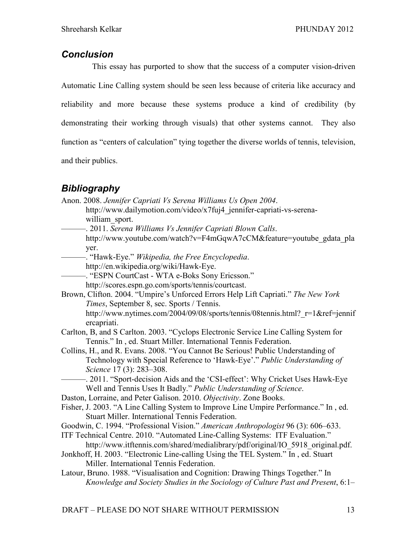### *Conclusion*

This essay has purported to show that the success of a computer vision-driven Automatic Line Calling system should be seen less because of criteria like accuracy and reliability and more because these systems produce a kind of credibility (by demonstrating their working through visuals) that other systems cannot. They also function as "centers of calculation" tying together the diverse worlds of tennis, television, and their publics.

## *Bibliography*

| Anon. 2008. Jennifer Capriati Vs Serena Williams Us Open 2004.<br>http://www.dailymotion.com/video/x7fuj4_jennifer-capriati-vs-serena- |
|----------------------------------------------------------------------------------------------------------------------------------------|
| william sport.                                                                                                                         |
| -. 2011. Serena Williams Vs Jennifer Capriati Blown Calls.                                                                             |
| http://www.youtube.com/watch?v=F4mGqwA7cCM&feature=youtube_gdata_pla                                                                   |
| yer.                                                                                                                                   |
| http://en.wikipedia.org/wiki/Hawk-Eye.                                                                                                 |
| -. "ESPN CourtCast - WTA e-Boks Sony Ericsson."                                                                                        |
| http://scores.espn.go.com/sports/tennis/courtcast.                                                                                     |
| Brown, Clifton. 2004. "Umpire's Unforced Errors Help Lift Capriati." The New York                                                      |
| Times, September 8, sec. Sports / Tennis.                                                                                              |
| http://www.nytimes.com/2004/09/08/sports/tennis/08tennis.html?_r=1&ref=jennif<br>ercapriati.                                           |
| Carlton, B, and S Carlton. 2003. "Cyclops Electronic Service Line Calling System for                                                   |
| Tennis." In, ed. Stuart Miller. International Tennis Federation.                                                                       |
| Collins, H., and R. Evans. 2008. "You Cannot Be Serious! Public Understanding of                                                       |
| Technology with Special Reference to 'Hawk-Eye'." Public Understanding of                                                              |
| Science 17 (3): 283-308.                                                                                                               |
| -. 2011. "Sport-decision Aids and the 'CSI-effect': Why Cricket Uses Hawk-Eye                                                          |
| Well and Tennis Uses It Badly." Public Understanding of Science.                                                                       |
| Daston, Lorraine, and Peter Galison. 2010. Objectivity. Zone Books.                                                                    |
| Fisher, J. 2003. "A Line Calling System to Improve Line Umpire Performance." In, ed.                                                   |
| Stuart Miller. International Tennis Federation.                                                                                        |
| Goodwin, C. 1994. "Professional Vision." American Anthropologist 96 (3): 606-633.                                                      |
| ITF Technical Centre. 2010. "Automated Line-Calling Systems: ITF Evaluation."                                                          |
| http://www.itftennis.com/shared/medialibrary/pdf/original/IO 5918 original.pdf.                                                        |
| Jonkhoff, H. 2003. "Electronic Line-calling Using the TEL System." In, ed. Stuart                                                      |
| Miller. International Tennis Federation.<br>Latour, Bruno. 1988. "Visualisation and Cognition: Drawing Things Together." In            |
| Knowledge and Society Studies in the Sociology of Culture Past and Present, 6:1–                                                       |